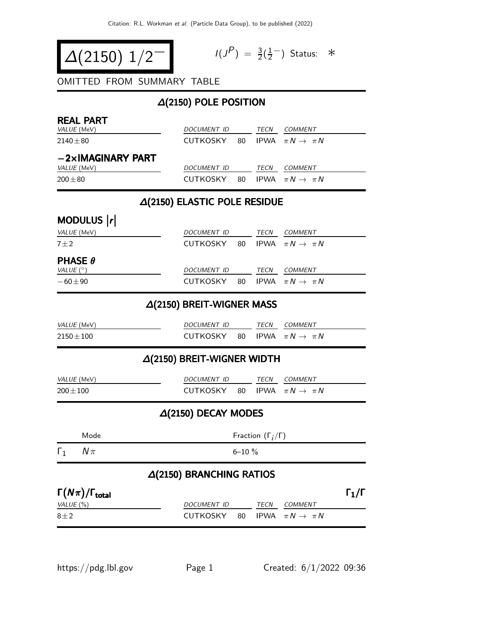$$
\Delta(2150) \; 1/2^{-1} \qquad \qquad ^{1/3}
$$

$$
I(J^P) = \frac{3}{2}(\frac{1}{2}^{-})
$$
 Status:  $*$ 

OMITTED FROM SUMMARY TABLE

## ∆(2150) POLE POSITION

| <b>REAL PART</b><br>VALUE (MeV)   | DOCUMENT ID                                           |    | TECN        | COMMENT                        |                   |
|-----------------------------------|-------------------------------------------------------|----|-------------|--------------------------------|-------------------|
| $2140 \pm 80$                     | <b>CUTKOSKY</b>                                       | 80 | <b>IPWA</b> | $\pi N \rightarrow \pi N$      |                   |
| $-2\times$ IMAGINARY PART         |                                                       |    |             |                                |                   |
| VALUE (MeV)                       | DOCUMENT ID                                           |    | TECN        | COMMENT                        |                   |
| $200 \pm 80$                      | <b>CUTKOSKY</b>                                       | 80 |             | IPWA $\pi N \rightarrow \pi N$ |                   |
|                                   | <b><math>\Delta</math>(2150) ELASTIC POLE RESIDUE</b> |    |             |                                |                   |
| MODULUS  r                        |                                                       |    |             |                                |                   |
| VALUE (MeV)                       | DOCUMENT ID                                           |    | TECN        | <i>COMMENT</i>                 |                   |
| $7\pm2$                           | CUTKOSKY                                              | 80 |             | IPWA $\pi N \rightarrow \pi N$ |                   |
| <b>PHASE <math>\theta</math></b>  |                                                       |    |             |                                |                   |
| VALUE $(^\circ)$                  | DOCUMENT ID                                           |    | TECN        | <b>COMMENT</b>                 |                   |
| $-60 + 90$                        | <b>CUTKOSKY</b>                                       | 80 |             | IPWA $\pi N \rightarrow \pi N$ |                   |
|                                   | $\Delta(2150)$ BREIT-WIGNER MASS                      |    |             |                                |                   |
| VALUE (MeV)                       | DOCUMENT ID                                           |    | TECN        | <b>COMMENT</b>                 |                   |
| $2150\pm100$                      | CUTKOSKY                                              | 80 |             | IPWA $\pi N \rightarrow \pi N$ |                   |
|                                   | $\Delta(2150)$ BREIT-WIGNER WIDTH                     |    |             |                                |                   |
| VALUE (MeV)                       | DOCUMENT ID                                           |    | TECN        | <b>COMMENT</b>                 |                   |
| $200\!\pm\!100$                   | <b>CUTKOSKY</b>                                       | 80 | <b>IPWA</b> | $\pi N \rightarrow \pi N$      |                   |
|                                   | $\Delta(2150)$ DECAY MODES                            |    |             |                                |                   |
| Mode                              | Fraction $(\Gamma_i/\Gamma)$                          |    |             |                                |                   |
| $N\pi$<br>$\Gamma_1$              | $6 - 10 \%$                                           |    |             |                                |                   |
|                                   | △(2150) BRANCHING RATIOS                              |    |             |                                |                   |
| $\Gamma(N\pi)/\Gamma_{\rm total}$ |                                                       |    |             |                                | $\Gamma_1/\Gamma$ |
| VALUE (%)                         | DOCUMENT ID                                           |    | TECN        | COMMENT                        |                   |
| $8 \pm 2$                         | CUTKOSKY                                              | 80 |             | IPWA $\pi N \rightarrow \pi N$ |                   |